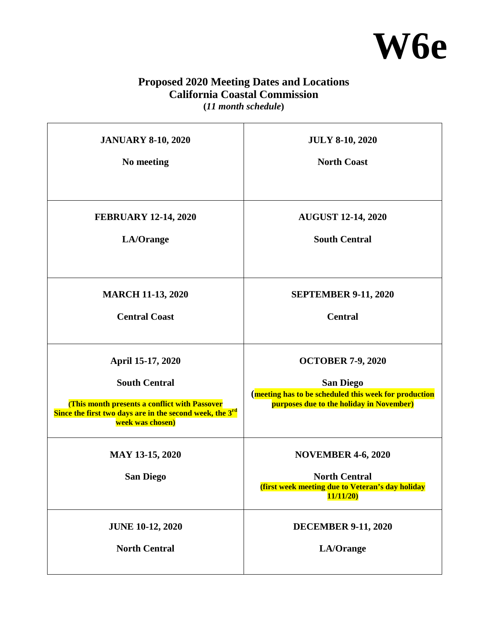

## **Proposed 2020 Meeting Dates and Locations California Coastal Commission**

**(***11 month schedule***)**   $\overline{\phantom{a}}$ 

| <b>JANUARY 8-10, 2020</b>                                                                                                                                                              | <b>JULY 8-10, 2020</b>                                                                                                                            |
|----------------------------------------------------------------------------------------------------------------------------------------------------------------------------------------|---------------------------------------------------------------------------------------------------------------------------------------------------|
| No meeting                                                                                                                                                                             | <b>North Coast</b>                                                                                                                                |
| <b>FEBRUARY 12-14, 2020</b>                                                                                                                                                            | <b>AUGUST 12-14, 2020</b>                                                                                                                         |
| LA/Orange                                                                                                                                                                              | <b>South Central</b>                                                                                                                              |
| <b>MARCH 11-13, 2020</b>                                                                                                                                                               | <b>SEPTEMBER 9-11, 2020</b>                                                                                                                       |
| <b>Central Coast</b>                                                                                                                                                                   | <b>Central</b>                                                                                                                                    |
| April 15-17, 2020<br><b>South Central</b><br>(This month presents a conflict with Passover<br>Since the first two days are in the second week, the 3 <sup>rd</sup><br>week was chosen) | <b>OCTOBER 7-9, 2020</b><br><b>San Diego</b><br>(meeting has to be scheduled this week for production<br>purposes due to the holiday in November) |
| <b>MAY 13-15, 2020</b><br><b>San Diego</b>                                                                                                                                             | <b>NOVEMBER 4-6, 2020</b><br><b>North Central</b><br>(first week meeting due to Veteran's day holiday<br>11/11/20                                 |
| <b>JUNE 10-12, 2020</b>                                                                                                                                                                | <b>DECEMBER 9-11, 2020</b>                                                                                                                        |
| <b>North Central</b>                                                                                                                                                                   | LA/Orange                                                                                                                                         |